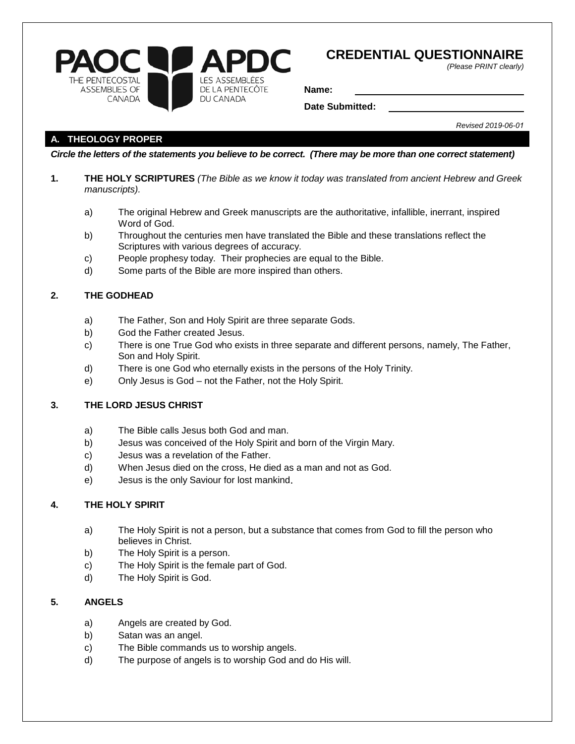

# **CREDENTIAL QUESTIONNAIRE**

*(Please PRINT clearly)* 

**Name:**

**Date Submitted:**

*Revised 2019-06-01*

# **A. THEOLOGY PROPER**

*Circle the letters of the statements you believe to be correct. (There may be more than one correct statement)*

- **1. THE HOLY SCRIPTURES** *(The Bible as we know it today was translated from ancient Hebrew and Greek manuscripts).*
	- a) The original Hebrew and Greek manuscripts are the authoritative, infallible, inerrant, inspired Word of God.
	- b) Throughout the centuries men have translated the Bible and these translations reflect the Scriptures with various degrees of accuracy.
	- c) People prophesy today. Their prophecies are equal to the Bible.
	- d) Some parts of the Bible are more inspired than others.

# **2. THE GODHEAD**

- a) The Father, Son and Holy Spirit are three separate Gods.
- b) God the Father created Jesus.
- c) There is one True God who exists in three separate and different persons, namely, The Father, Son and Holy Spirit.
- d) There is one God who eternally exists in the persons of the Holy Trinity.
- e) Only Jesus is God not the Father, not the Holy Spirit.

## **3. THE LORD JESUS CHRIST**

- a) The Bible calls Jesus both God and man.
- b) Jesus was conceived of the Holy Spirit and born of the Virgin Mary.
- c) Jesus was a revelation of the Father.
- d) When Jesus died on the cross, He died as a man and not as God.
- e) Jesus is the only Saviour for lost mankind.

#### **4. THE HOLY SPIRIT**

- a) The Holy Spirit is not a person, but a substance that comes from God to fill the person who believes in Christ.
- b) The Holy Spirit is a person.
- c) The Holy Spirit is the female part of God.
- d) The Holy Spirit is God.

### **5. ANGELS**

- a) Angels are created by God.
- b) Satan was an angel.
- c) The Bible commands us to worship angels.
- d) The purpose of angels is to worship God and do His will.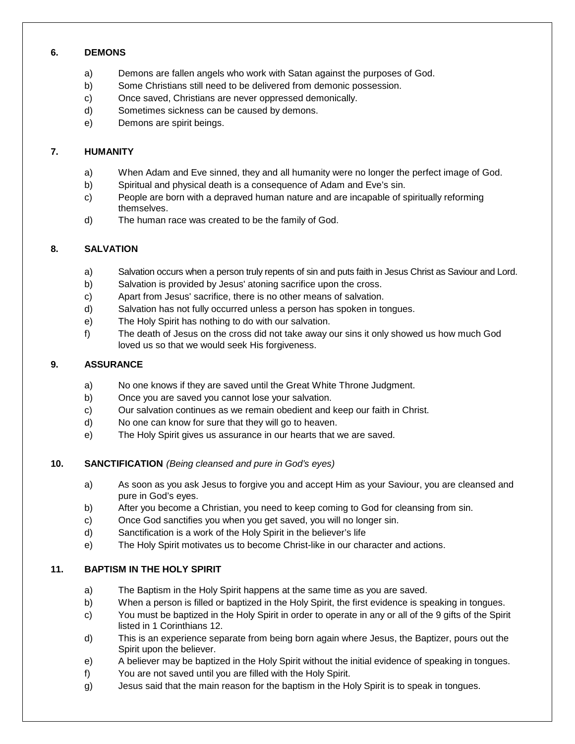## **6. DEMONS**

- a) Demons are fallen angels who work with Satan against the purposes of God.
- b) Some Christians still need to be delivered from demonic possession.
- c) Once saved, Christians are never oppressed demonically.
- d) Sometimes sickness can be caused by demons.
- e) Demons are spirit beings.

## **7. HUMANITY**

- a) When Adam and Eve sinned, they and all humanity were no longer the perfect image of God.
- b) Spiritual and physical death is a consequence of Adam and Eve's sin.
- c) People are born with a depraved human nature and are incapable of spiritually reforming themselves.
- d) The human race was created to be the family of God.

# **8. SALVATION**

- a) Salvation occurs when a person truly repents of sin and puts faith in Jesus Christ as Saviour and Lord.
- b) Salvation is provided by Jesus' atoning sacrifice upon the cross.
- c) Apart from Jesus' sacrifice, there is no other means of salvation.
- d) Salvation has not fully occurred unless a person has spoken in tongues.
- e) The Holy Spirit has nothing to do with our salvation.
- f) The death of Jesus on the cross did not take away our sins it only showed us how much God loved us so that we would seek His forgiveness.

## **9. ASSURANCE**

- a) No one knows if they are saved until the Great White Throne Judgment.
- b) Once you are saved you cannot lose your salvation.
- c) Our salvation continues as we remain obedient and keep our faith in Christ.
- d) No one can know for sure that they will go to heaven.
- e) The Holy Spirit gives us assurance in our hearts that we are saved.
- **10. SANCTIFICATION** *(Being cleansed and pure in God's eyes)*
	- a) As soon as you ask Jesus to forgive you and accept Him as your Saviour, you are cleansed and pure in God's eyes.
	- b) After you become a Christian, you need to keep coming to God for cleansing from sin.
	- c) Once God sanctifies you when you get saved, you will no longer sin.
	- d) Sanctification is a work of the Holy Spirit in the believer's life
	- e) The Holy Spirit motivates us to become Christ-like in our character and actions.

# **11. BAPTISM IN THE HOLY SPIRIT**

- a) The Baptism in the Holy Spirit happens at the same time as you are saved.
- b) When a person is filled or baptized in the Holy Spirit, the first evidence is speaking in tongues.
- c) You must be baptized in the Holy Spirit in order to operate in any or all of the 9 gifts of the Spirit listed in 1 Corinthians 12.
- d) This is an experience separate from being born again where Jesus, the Baptizer, pours out the Spirit upon the believer.
- e) A believer may be baptized in the Holy Spirit without the initial evidence of speaking in tongues.
- f) You are not saved until you are filled with the Holy Spirit.
- g) Jesus said that the main reason for the baptism in the Holy Spirit is to speak in tongues.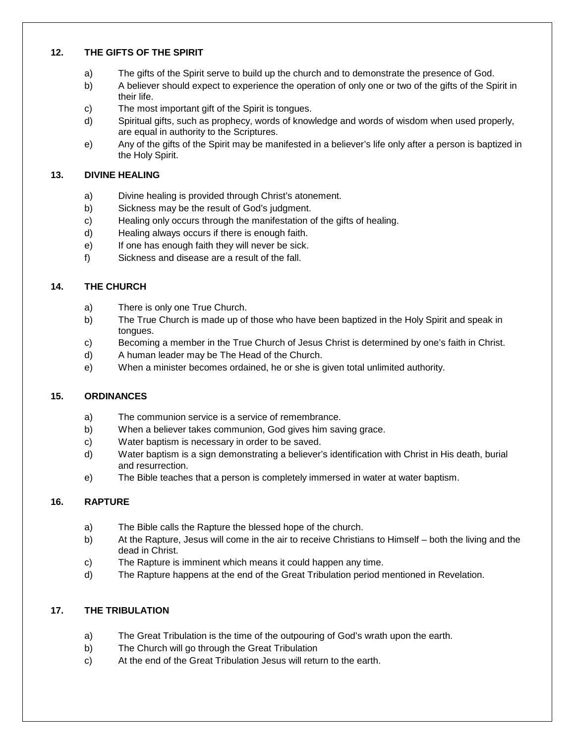### **12. THE GIFTS OF THE SPIRIT**

- a) The gifts of the Spirit serve to build up the church and to demonstrate the presence of God.
- b) A believer should expect to experience the operation of only one or two of the gifts of the Spirit in their life.
- c) The most important gift of the Spirit is tongues.
- d) Spiritual gifts, such as prophecy, words of knowledge and words of wisdom when used properly, are equal in authority to the Scriptures.
- e) Any of the gifts of the Spirit may be manifested in a believer's life only after a person is baptized in the Holy Spirit.

## **13. DIVINE HEALING**

- a) Divine healing is provided through Christ's atonement.
- b) Sickness may be the result of God's judgment.
- c) Healing only occurs through the manifestation of the gifts of healing.
- d) Healing always occurs if there is enough faith.
- e) If one has enough faith they will never be sick.
- f) Sickness and disease are a result of the fall.

# **14. THE CHURCH**

- a) There is only one True Church.
- b) The True Church is made up of those who have been baptized in the Holy Spirit and speak in tongues.
- c) Becoming a member in the True Church of Jesus Christ is determined by one's faith in Christ.
- d) A human leader may be The Head of the Church.
- e) When a minister becomes ordained, he or she is given total unlimited authority.

#### **15. ORDINANCES**

- a) The communion service is a service of remembrance.
- b) When a believer takes communion, God gives him saving grace.
- c) Water baptism is necessary in order to be saved.
- ☐ d) Water baptism is a sign demonstrating a believer's identification with Christ in His death, burial and resurrection.
- e) The Bible teaches that a person is completely immersed in water at water baptism.

# **16. RAPTURE**

- a) The Bible calls the Rapture the blessed hope of the church.
- b) At the Rapture, Jesus will come in the air to receive Christians to Himself both the living and the dead in Christ.
- c) The Rapture is imminent which means it could happen any time.
- d) The Rapture happens at the end of the Great Tribulation period mentioned in Revelation.

# **17. THE TRIBULATION**

- a) The Great Tribulation is the time of the outpouring of God's wrath upon the earth.
- b) The Church will go through the Great Tribulation
- c) At the end of the Great Tribulation Jesus will return to the earth.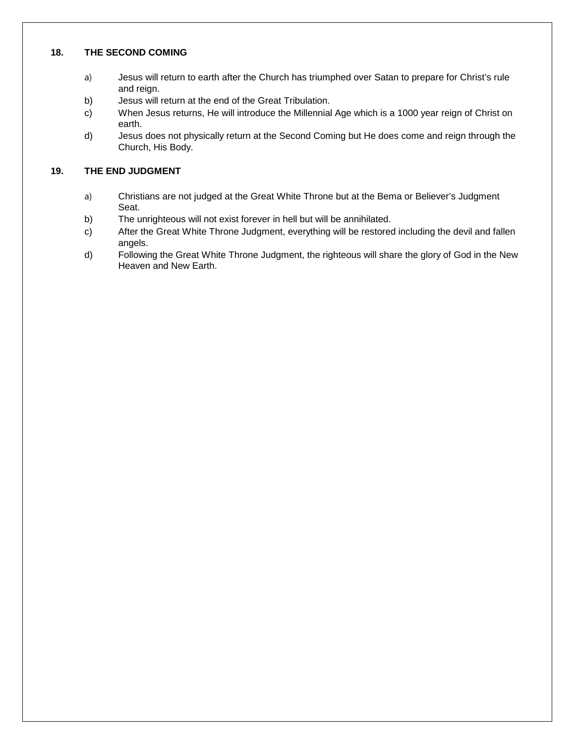### **18. THE SECOND COMING**

- a) Jesus will return to earth after the Church has triumphed over Satan to prepare for Christ's rule and reign.
- b) Jesus will return at the end of the Great Tribulation.
- c) When Jesus returns, He will introduce the Millennial Age which is a 1000 year reign of Christ on earth.
- ☐ d) Jesus does not physically return at the Second Coming but He does come and reign through the Church, His Body.

#### **19. THE END JUDGMENT**

- a) Christians are not judged at the Great White Throne but at the Bema or Believer's Judgment Seat.
- b) The unrighteous will not exist forever in hell but will be annihilated.
- c) After the Great White Throne Judgment, everything will be restored including the devil and fallen angels.
- d) Following the Great White Throne Judgment, the righteous will share the glory of God in the New Heaven and New Earth.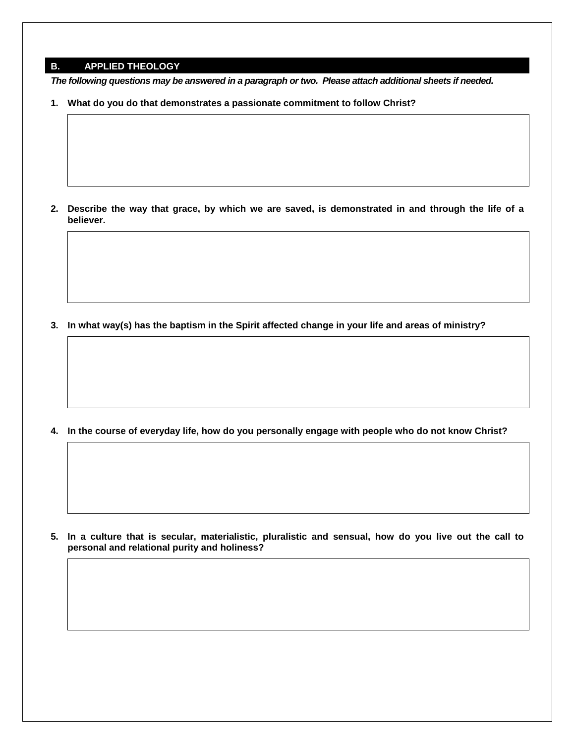## **B. APPLIED THEOLOGY**

*The following questions may be answered in a paragraph or two. Please attach additional sheets if needed.*

**1. What do you do that demonstrates a passionate commitment to follow Christ?**

**2. Describe the way that grace, by which we are saved, is demonstrated in and through the life of a believer.**

**3. In what way(s) has the baptism in the Spirit affected change in your life and areas of ministry?**

**4. In the course of everyday life, how do you personally engage with people who do not know Christ?**

**5. In a culture that is secular, materialistic, pluralistic and sensual, how do you live out the call to personal and relational purity and holiness?**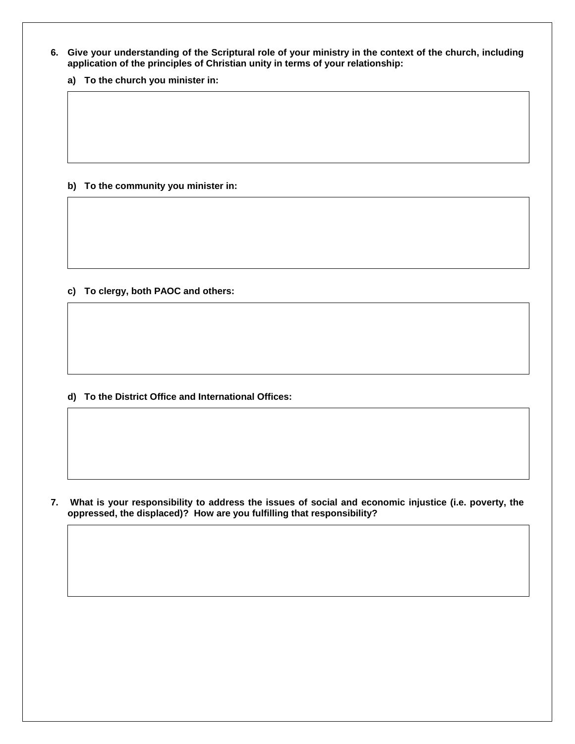**6. Give your understanding of the Scriptural role of your ministry in the context of the church, including application of the principles of Christian unity in terms of your relationship:**

**a) To the church you minister in:**

**b) To the community you minister in:** 

**c) To clergy, both PAOC and others:** 

**d) To the District Office and International Offices:**

**7. What is your responsibility to address the issues of social and economic injustice (i.e. poverty, the oppressed, the displaced)? How are you fulfilling that responsibility?**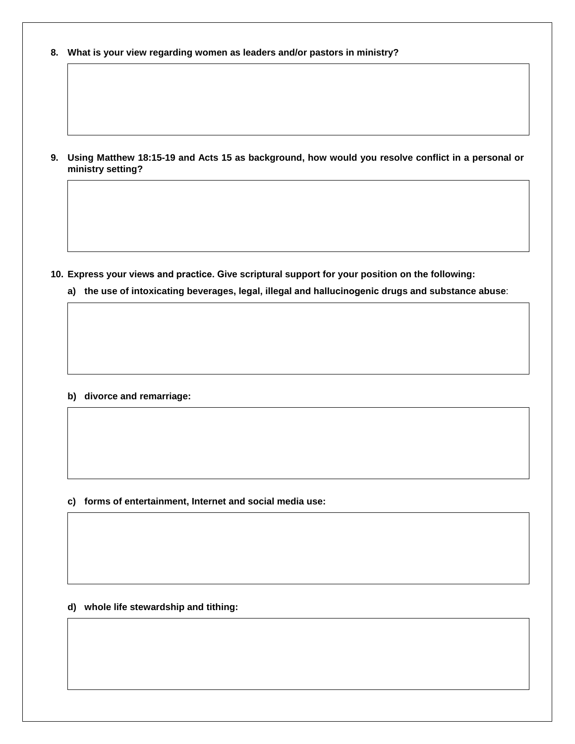**8. What is your view regarding women as leaders and/or pastors in ministry?**

**9. Using Matthew 18:15-19 and Acts 15 as background, how would you resolve conflict in a personal or ministry setting?**

**10. Express your views and practice. Give scriptural support for your position on the following:**

**a) the use of intoxicating beverages, legal, illegal and hallucinogenic drugs and substance abuse**:

**b) divorce and remarriage:**

**c) forms of entertainment, Internet and social media use:**

**d) whole life stewardship and tithing:**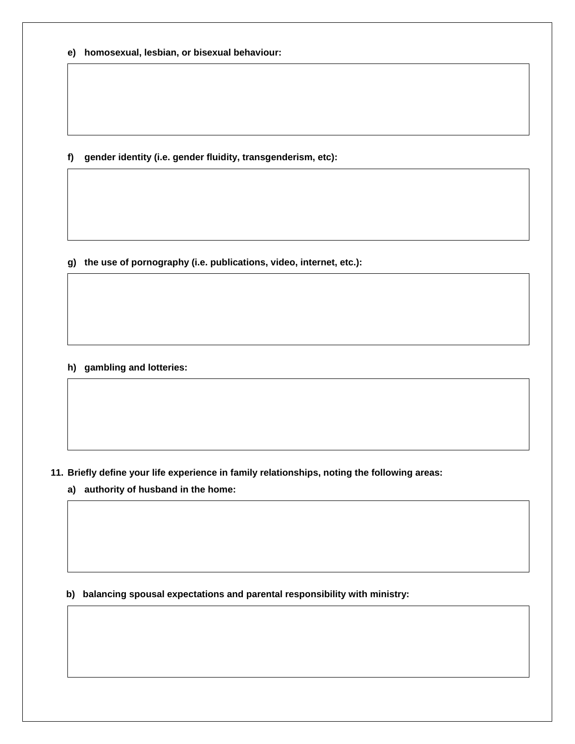**e) homosexual, lesbian, or bisexual behaviour:**

**f) gender identity (i.e. gender fluidity, transgenderism, etc):**

**g) the use of pornography (i.e. publications, video, internet, etc.):**

**h) gambling and lotteries:**

**11. Briefly define your life experience in family relationships, noting the following areas:**

**a) authority of husband in the home:**

**b) balancing spousal expectations and parental responsibility with ministry:**